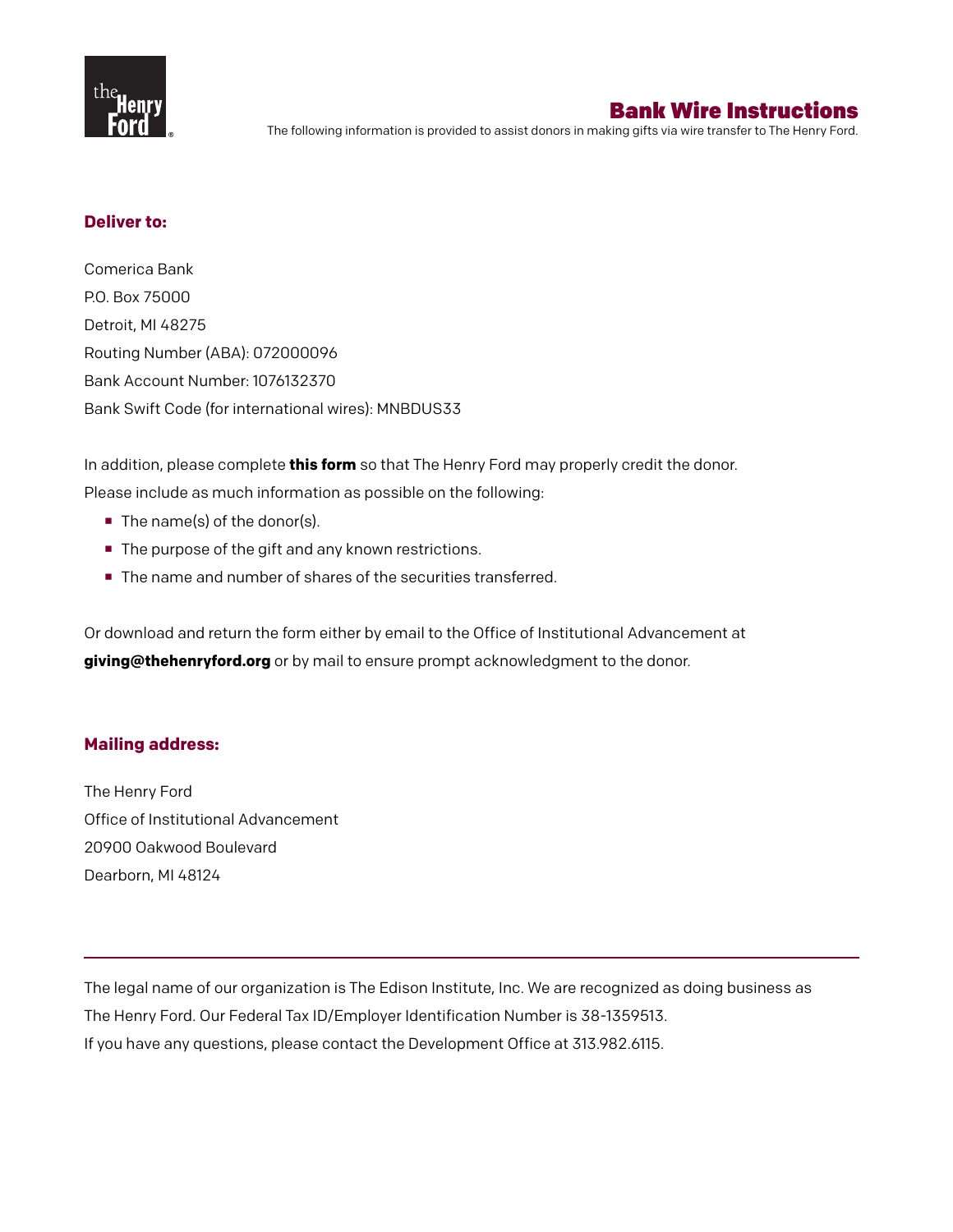

# Bank Wire Instructions

The following information is provided to assist donors in making gifts via wire transfer to The Henry Ford.

### **Deliver to:**

Comerica Bank P.O. Box 75000 Detroit, MI 48275 Routing Number (ABA): 072000096 Bank Account Number: 1076132370 Bank Swift Code (for international wires): MNBDUS33

In addition, please complete **this form** so that The Henry Ford may properly credit the donor. Please include as much information as possible on the following:

- The name(s) of the donor(s).
- The purpose of the gift and any known restrictions.
- The name and number of shares of the securities transferred.

Or download and return the form either by email to the Office of Institutional Advancement at **giving@thehenryford.org** or by mail to ensure prompt acknowledgment to the donor.

### **Mailing address:**

The Henry Ford Office of Institutional Advancement 20900 Oakwood Boulevard Dearborn, MI 48124

The legal name of our organization is The Edison Institute, Inc. We are recognized as doing business as The Henry Ford. Our Federal Tax ID/Employer Identification Number is 38-1359513. If you have any questions, please contact the Development Office at 313.982.6115.